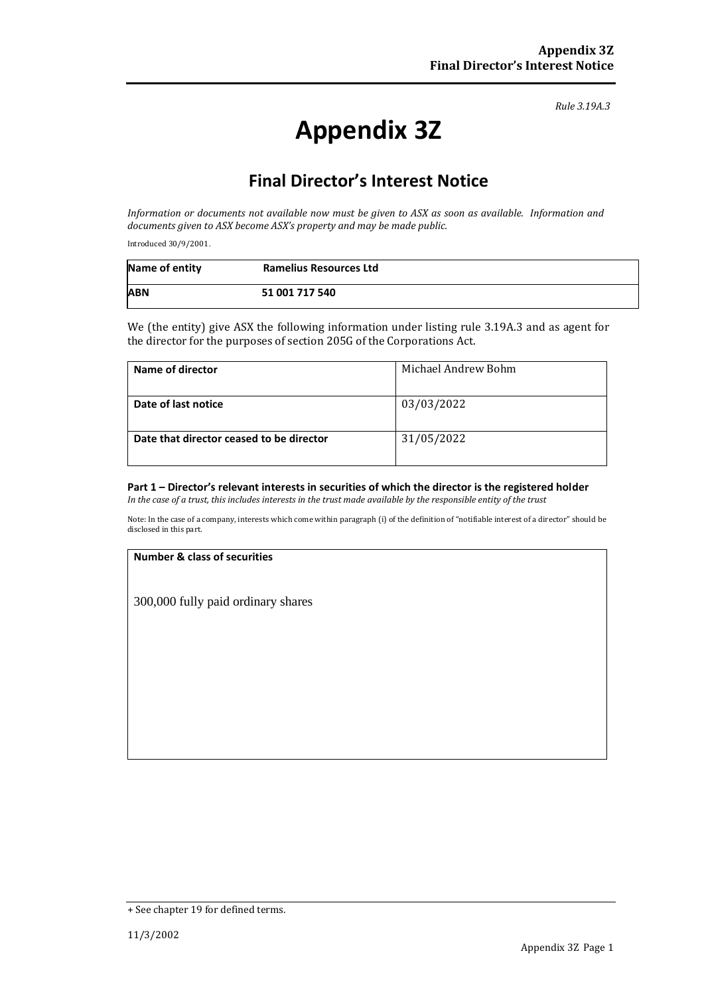*Rule 3.19A.3*

# **Appendix 3Z**

## **Final Director's Interest Notice**

*Information or documents not available now must be given to ASX as soon as available. Information and documents given to ASX become ASX's property and may be made public.*

Introduced 30/9/2001.

| Name of entity | <b>Ramelius Resources Ltd</b> |
|----------------|-------------------------------|
| <b>ABN</b>     | 51 001 717 540                |

We (the entity) give ASX the following information under listing rule 3.19A.3 and as agent for the director for the purposes of section 205G of the Corporations Act.

| Name of director                         | Michael Andrew Bohm |
|------------------------------------------|---------------------|
| Date of last notice                      | 03/03/2022          |
| Date that director ceased to be director | 31/05/2022          |

### **Part 1 – Director's relevant interests in securities of which the director is the registered holder**

*In the case of a trust, this includes interests in the trust made available by the responsible entity of the trust*

Note: In the case of a company, interests which come within paragraph (i) of the definition of "notifiable interest of a director" should be disclosed in this part.

#### **Number & class of securities**

300,000 fully paid ordinary shares

<sup>+</sup> See chapter 19 for defined terms.